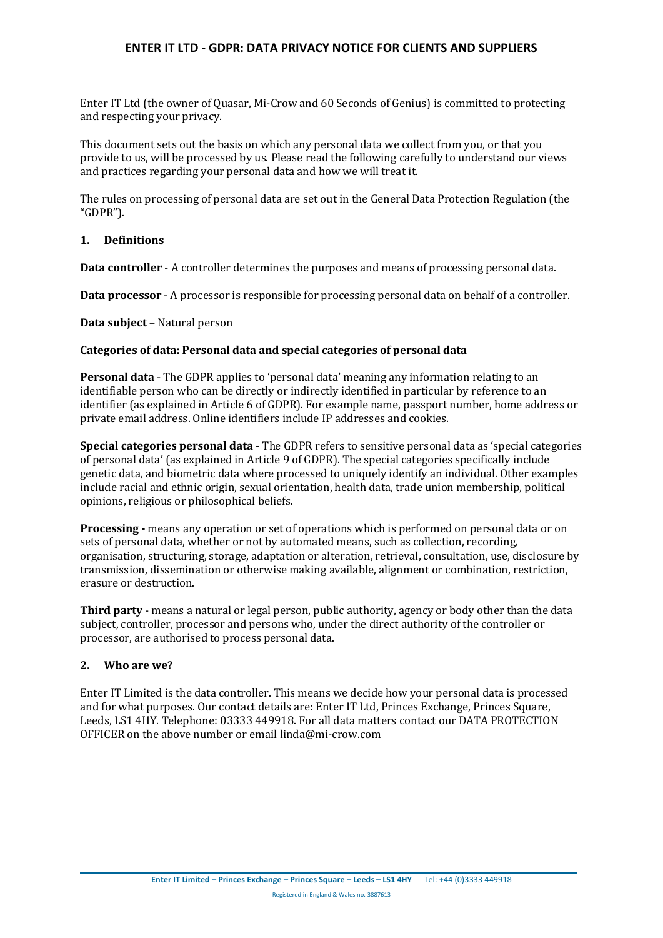Enter IT Ltd (the owner of Quasar, Mi-Crow and 60 Seconds of Genius) is committed to protecting and respecting your privacy.

This document sets out the basis on which any personal data we collect from you, or that you provide to us, will be processed by us. Please read the following carefully to understand our views and practices regarding your personal data and how we will treat it.

The rules on processing of personal data are set out in the General Data Protection Regulation (the "GDPR").

## **1. Definitions**

**Data controller** - A controller determines the purposes and means of processing personal data.

**Data processor** - A processor is responsible for processing personal data on behalf of a controller.

**Data subject –** Natural person

#### **Categories of data: Personal data and special categories of personal data**

**Personal data** - The GDPR applies to 'personal data' meaning any information relating to an identifiable person who can be directly or indirectly identified in particular by reference to an identifier (as explained in Article 6 of GDPR). For example name, passport number, home address or private email address. Online identifiers include IP addresses and cookies.

**Special categories personal data -** The GDPR refers to sensitive personal data as 'special categories of personal data' (as explained in Article 9 of GDPR). The special categories specifically include genetic data, and biometric data where processed to uniquely identify an individual. Other examples include racial and ethnic origin, sexual orientation, health data, trade union membership, political opinions, religious or philosophical beliefs.

**Processing -** means any operation or set of operations which is performed on personal data or on sets of personal data, whether or not by automated means, such as collection, recording, organisation, structuring, storage, adaptation or alteration, retrieval, consultation, use, disclosure by transmission, dissemination or otherwise making available, alignment or combination, restriction, erasure or destruction.

**Third party** - means a natural or legal person, public authority, agency or body other than the data subject, controller, processor and persons who, under the direct authority of the controller or processor, are authorised to process personal data.

## **2. Who are we?**

Enter IT Limited is the data controller. This means we decide how your personal data is processed and for what purposes. Our contact details are: Enter IT Ltd, Princes Exchange, Princes Square, Leeds, LS1 4HY. Telephone: 03333 449918. For all data matters contact our DATA PROTECTION OFFICER on the above number or email linda@mi-crow.com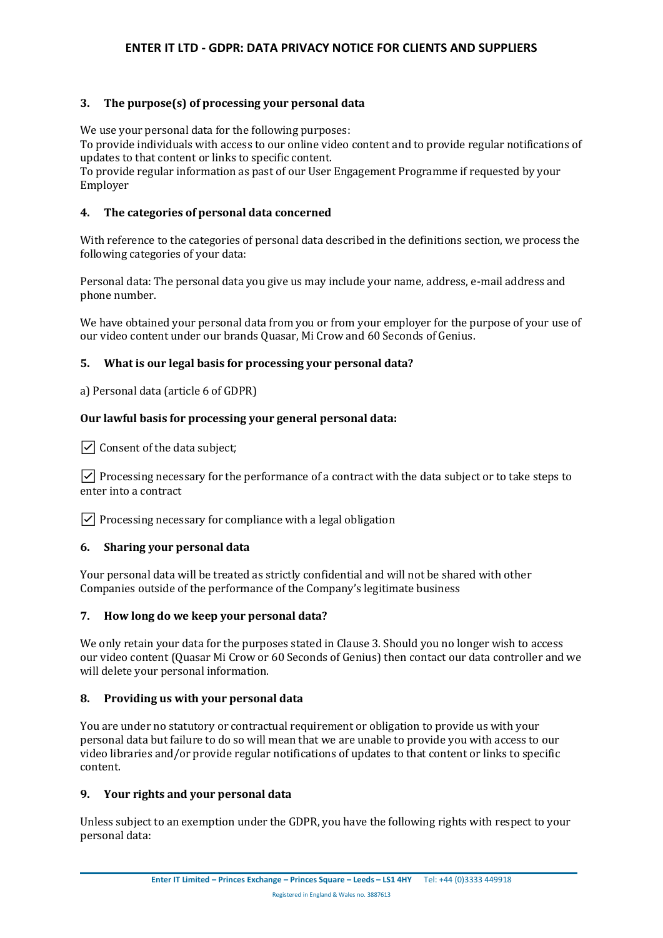## **3. The purpose(s) of processing your personal data**

We use your personal data for the following purposes:

To provide individuals with access to our online video content and to provide regular notifications of updates to that content or links to specific content.

To provide regular information as past of our User Engagement Programme if requested by your Employer

### **4. The categories of personal data concerned**

With reference to the categories of personal data described in the definitions section, we process the following categories of your data:

Personal data: The personal data you give us may include your name, address, e-mail address and phone number.

We have obtained your personal data from you or from your employer for the purpose of your use of our video content under our brands Quasar, Mi Crow and 60 Seconds of Genius.

### **5. What is our legal basis for processing your personal data?**

a) Personal data (article 6 of GDPR)

### **Our lawful basis for processing your general personal data:**

 $\triangledown$  Consent of the data subject:

 $\vee$  Processing necessary for the performance of a contract with the data subject or to take steps to enter into a contract

 $\triangledown$  Processing necessary for compliance with a legal obligation

#### **6. Sharing your personal data**

Your personal data will be treated as strictly confidential and will not be shared with other Companies outside of the performance of the Company's legitimate business

#### **7. How long do we keep your personal data?**

We only retain your data for the purposes stated in Clause 3. Should you no longer wish to access our video content (Quasar Mi Crow or 60 Seconds of Genius) then contact our data controller and we will delete your personal information.

#### **8. Providing us with your personal data**

You are under no statutory or contractual requirement or obligation to provide us with your personal data but failure to do so will mean that we are unable to provide you with access to our video libraries and/or provide regular notifications of updates to that content or links to specific content.

#### **9. Your rights and your personal data**

Unless subject to an exemption under the GDPR, you have the following rights with respect to your personal data: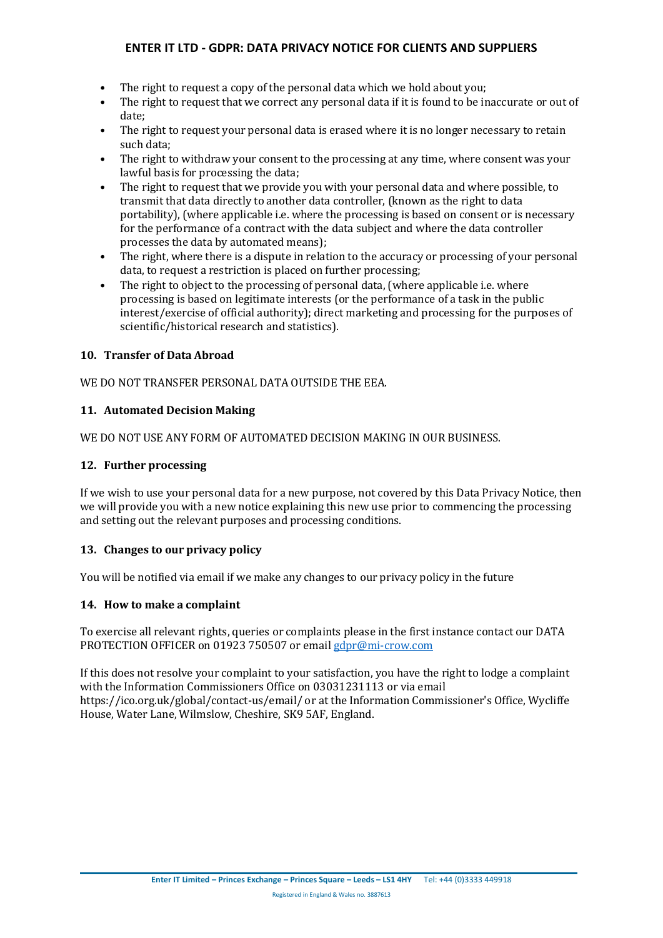- The right to request a copy of the personal data which we hold about you:
- The right to request that we correct any personal data if it is found to be inaccurate or out of date;
- The right to request your personal data is erased where it is no longer necessary to retain such data;
- The right to withdraw your consent to the processing at any time, where consent was your lawful basis for processing the data;
- The right to request that we provide you with your personal data and where possible, to transmit that data directly to another data controller, (known as the right to data portability), (where applicable i.e. where the processing is based on consent or is necessary for the performance of a contract with the data subject and where the data controller processes the data by automated means);
- The right, where there is a dispute in relation to the accuracy or processing of your personal data, to request a restriction is placed on further processing;
- The right to object to the processing of personal data, (where applicable i.e. where processing is based on legitimate interests (or the performance of a task in the public interest/exercise of official authority); direct marketing and processing for the purposes of scientific/historical research and statistics).

### **10. Transfer of Data Abroad**

#### WE DO NOT TRANSFER PERSONAL DATA OUTSIDE THE EEA.

### **11. Automated Decision Making**

WE DO NOT USE ANY FORM OF AUTOMATED DECISION MAKING IN OUR BUSINESS.

#### **12. Further processing**

If we wish to use your personal data for a new purpose, not covered by this Data Privacy Notice, then we will provide you with a new notice explaining this new use prior to commencing the processing and setting out the relevant purposes and processing conditions.

#### **13. Changes to our privacy policy**

You will be notified via email if we make any changes to our privacy policy in the future

### **14. How to make a complaint**

To exercise all relevant rights, queries or complaints please in the first instance contact our DATA PROTECTION OFFICER on 01923 750507 or emai[l gdpr@mi-crow.com](mailto:gdpr@mi-crow.com)

If this does not resolve your complaint to your satisfaction, you have the right to lodge a complaint with the Information Commissioners Office on 03031231113 or via email https://ico.org.uk/global/contact-us/email/ or at the Information Commissioner's Office, Wycliffe House, Water Lane, Wilmslow, Cheshire, SK9 5AF, England.